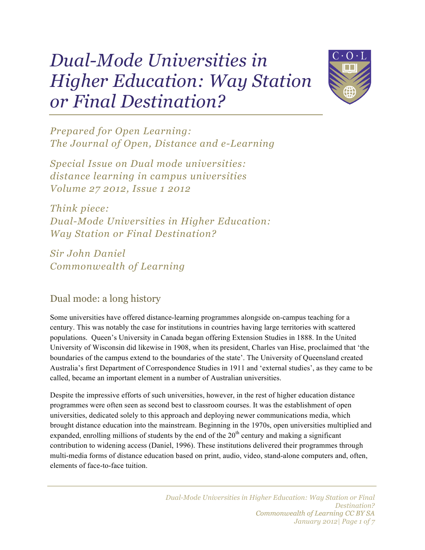# *Dual-Mode Universities in Higher Education: Way Station or Final Destination?*



*Prepared for Open Learning: The Journal of Open, Distance and e-Learning*

*Special Issue on Dual mode universities: distance learning in campus universities Volume 27 2012, Issue 1 2012*

*Think piece: Dual-Mode Universities in Higher Education: Way Station or Final Destination?*

*Sir John Daniel Commonwealth of Learning*

# Dual mode: a long history

Some universities have offered distance-learning programmes alongside on-campus teaching for a century. This was notably the case for institutions in countries having large territories with scattered populations. Queen's University in Canada began offering Extension Studies in 1888. In the United University of Wisconsin did likewise in 1908, when its president, Charles van Hise, proclaimed that 'the boundaries of the campus extend to the boundaries of the state'. The University of Queensland created Australia's first Department of Correspondence Studies in 1911 and 'external studies', as they came to be called, became an important element in a number of Australian universities.

Despite the impressive efforts of such universities, however, in the rest of higher education distance programmes were often seen as second best to classroom courses. It was the establishment of open universities, dedicated solely to this approach and deploying newer communications media, which brought distance education into the mainstream. Beginning in the 1970s, open universities multiplied and expanded, enrolling millions of students by the end of the  $20<sup>th</sup>$  century and making a significant contribution to widening access (Daniel, 1996). These institutions delivered their programmes through multi-media forms of distance education based on print, audio, video, stand-alone computers and, often, elements of face-to-face tuition.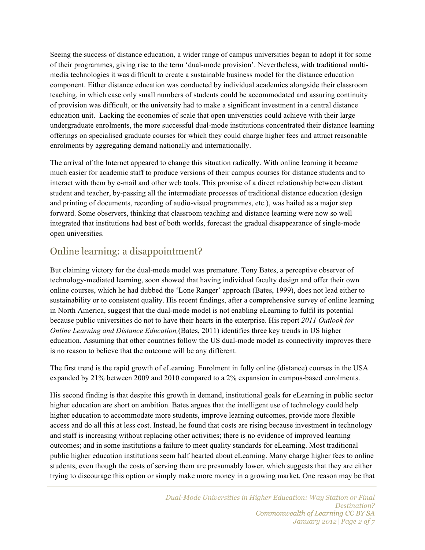Seeing the success of distance education, a wider range of campus universities began to adopt it for some of their programmes, giving rise to the term 'dual-mode provision'. Nevertheless, with traditional multimedia technologies it was difficult to create a sustainable business model for the distance education component. Either distance education was conducted by individual academics alongside their classroom teaching, in which case only small numbers of students could be accommodated and assuring continuity of provision was difficult, or the university had to make a significant investment in a central distance education unit. Lacking the economies of scale that open universities could achieve with their large undergraduate enrolments, the more successful dual-mode institutions concentrated their distance learning offerings on specialised graduate courses for which they could charge higher fees and attract reasonable enrolments by aggregating demand nationally and internationally.

The arrival of the Internet appeared to change this situation radically. With online learning it became much easier for academic staff to produce versions of their campus courses for distance students and to interact with them by e-mail and other web tools. This promise of a direct relationship between distant student and teacher, by-passing all the intermediate processes of traditional distance education (design and printing of documents, recording of audio-visual programmes, etc.), was hailed as a major step forward. Some observers, thinking that classroom teaching and distance learning were now so well integrated that institutions had best of both worlds, forecast the gradual disappearance of single-mode open universities.

## Online learning: a disappointment?

But claiming victory for the dual-mode model was premature. Tony Bates, a perceptive observer of technology-mediated learning, soon showed that having individual faculty design and offer their own online courses, which he had dubbed the 'Lone Ranger' approach (Bates, 1999), does not lead either to sustainability or to consistent quality. His recent findings, after a comprehensive survey of online learning in North America, suggest that the dual-mode model is not enabling eLearning to fulfil its potential because public universities do not to have their hearts in the enterprise. His report *2011 Outlook for Online Learning and Distance Education,*(Bates, 2011) identifies three key trends in US higher education. Assuming that other countries follow the US dual-mode model as connectivity improves there is no reason to believe that the outcome will be any different.

The first trend is the rapid growth of eLearning. Enrolment in fully online (distance) courses in the USA expanded by 21% between 2009 and 2010 compared to a 2% expansion in campus-based enrolments.

His second finding is that despite this growth in demand, institutional goals for eLearning in public sector higher education are short on ambition. Bates argues that the intelligent use of technology could help higher education to accommodate more students, improve learning outcomes, provide more flexible access and do all this at less cost. Instead, he found that costs are rising because investment in technology and staff is increasing without replacing other activities; there is no evidence of improved learning outcomes; and in some institutions a failure to meet quality standards for eLearning. Most traditional public higher education institutions seem half hearted about eLearning. Many charge higher fees to online students, even though the costs of serving them are presumably lower, which suggests that they are either trying to discourage this option or simply make more money in a growing market. One reason may be that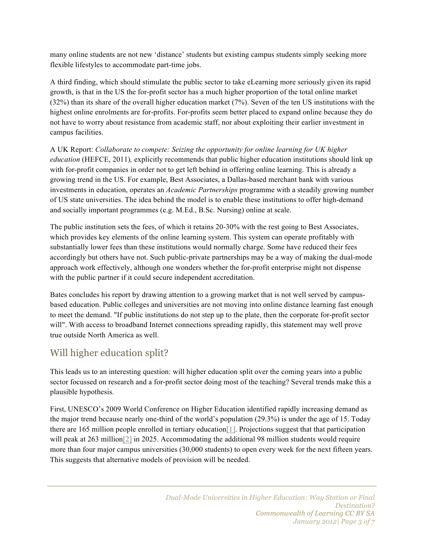many online students are not new 'distance' students but existing campus students simply seeking more flexible lifestyles to accommodate part-time jobs.

A third finding, which should stimulate the public sector to take eLearning more seriously given its rapid growth, is that in the US the for-profit sector has a much higher proportion of the total online market (32%) than its share of the overall higher education market (7%). Seven of the ten US institutions with the highest online enrolments are for-profits. For-profits seem better placed to expand online because they do not have to worry about resistance from academic staff, nor about exploiting their earlier investment in campus facilities.

A UK Report: *Collaborate to compete: Seizing the opportunity for online learning for UK higher education* (HEFCE, 2011)*,* explicitly recommends that public higher education institutions should link up with for-profit companies in order not to get left behind in offering online learning. This is already a growing trend in the US. For example, Best Associates, a Dallas-based merchant bank with various investments in education, operates an *Academic Partnerships* programme with a steadily growing number of US state universities. The idea behind the model is to enable these institutions to offer high-demand and socially important programmes (e.g. M.Ed., B.Sc. Nursing) online at scale.

The public institution sets the fees, of which it retains 20-30% with the rest going to Best Associates, which provides key elements of the online learning system. This system can operate profitably with substantially lower fees than these institutions would normally charge. Some have reduced their fees accordingly but others have not. Such public-private partnerships may be a way of making the dual-mode approach work effectively, although one wonders whether the for-profit enterprise might not dispense with the public partner if it could secure independent accreditation.

Bates concludes his report by drawing attention to a growing market that is not well served by campusbased education. Public colleges and universities are not moving into online distance learning fast enough to meet the demand. "If public institutions do not step up to the plate, then the corporate for-profit sector will". With access to broadband Internet connections spreading rapidly, this statement may well prove true outside North America as well.

## Will higher education split?

This leads us to an interesting question: will higher education split over the coming years into a public sector focussed on research and a for-profit sector doing most of the teaching? Several trends make this a plausible hypothesis.

First, UNESCO's 2009 World Conference on Higher Education identified rapidly increasing demand as the major trend because nearly one-third of the world's population (29.3%) is under the age of 15. Today there are 165 million people enrolled in tertiary education[1]. Projections suggest that that participation will peak at 263 million<sup>[2]</sup> in 2025. Accommodating the additional 98 million students would require more than four major campus universities (30,000 students) to open every week for the next fifteen years. This suggests that alternative models of provision will be needed.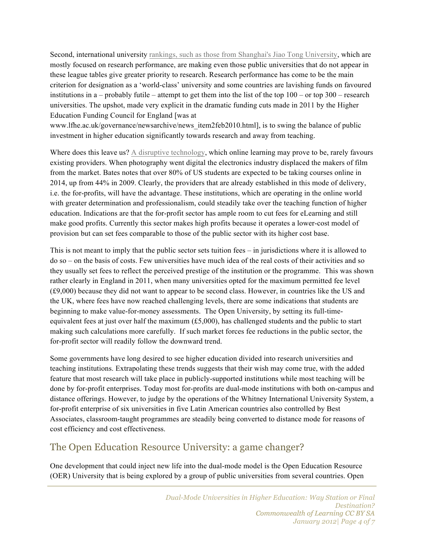Second, international university rankings, such as those from Shanghai's Jiao Tong University, which are mostly focused on research performance, are making even those public universities that do not appear in these league tables give greater priority to research. Research performance has come to be the main criterion for designation as a 'world-class' university and some countries are lavishing funds on favoured institutions in a – probably futile – attempt to get them into the list of the top 100 – or top 300 – research universities. The upshot, made very explicit in the dramatic funding cuts made in 2011 by the Higher Education Funding Council for England [was at

www.lfhe.ac.uk/governance/newsarchive/news\_item2feb2010.html], is to swing the balance of public investment in higher education significantly towards research and away from teaching.

Where does this leave us? A disruptive technology, which online learning may prove to be, rarely favours existing providers. When photography went digital the electronics industry displaced the makers of film from the market. Bates notes that over 80% of US students are expected to be taking courses online in 2014, up from 44% in 2009. Clearly, the providers that are already established in this mode of delivery, i.e. the for-profits, will have the advantage. These institutions, which are operating in the online world with greater determination and professionalism, could steadily take over the teaching function of higher education. Indications are that the for-profit sector has ample room to cut fees for eLearning and still make good profits. Currently this sector makes high profits because it operates a lower-cost model of provision but can set fees comparable to those of the public sector with its higher cost base.

This is not meant to imply that the public sector sets tuition fees – in jurisdictions where it is allowed to do so – on the basis of costs. Few universities have much idea of the real costs of their activities and so they usually set fees to reflect the perceived prestige of the institution or the programme. This was shown rather clearly in England in 2011, when many universities opted for the maximum permitted fee level (£9,000) because they did not want to appear to be second class. However, in countries like the US and the UK, where fees have now reached challenging levels, there are some indications that students are beginning to make value-for-money assessments. The Open University, by setting its full-timeequivalent fees at just over half the maximum (£5,000), has challenged students and the public to start making such calculations more carefully. If such market forces fee reductions in the public sector, the for-profit sector will readily follow the downward trend.

Some governments have long desired to see higher education divided into research universities and teaching institutions. Extrapolating these trends suggests that their wish may come true, with the added feature that most research will take place in publicly-supported institutions while most teaching will be done by for-profit enterprises. Today most for-profits are dual-mode institutions with both on-campus and distance offerings. However, to judge by the operations of the Whitney International University System, a for-profit enterprise of six universities in five Latin American countries also controlled by Best Associates, classroom-taught programmes are steadily being converted to distance mode for reasons of cost efficiency and cost effectiveness.

#### The Open Education Resource University: a game changer?

One development that could inject new life into the dual-mode model is the Open Education Resource (OER) University that is being explored by a group of public universities from several countries. Open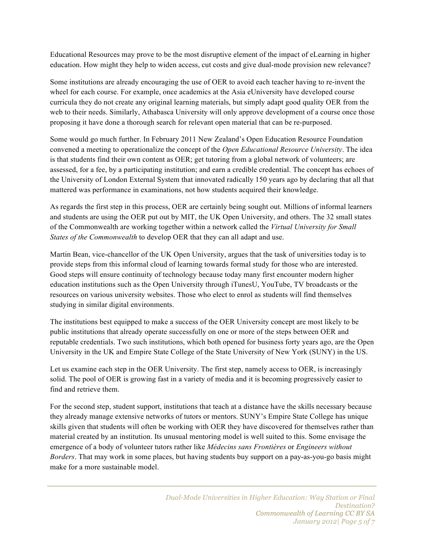Educational Resources may prove to be the most disruptive element of the impact of eLearning in higher education. How might they help to widen access, cut costs and give dual-mode provision new relevance?

Some institutions are already encouraging the use of OER to avoid each teacher having to re-invent the wheel for each course. For example, once academics at the Asia eUniversity have developed course curricula they do not create any original learning materials, but simply adapt good quality OER from the web to their needs. Similarly, Athabasca University will only approve development of a course once those proposing it have done a thorough search for relevant open material that can be re-purposed.

Some would go much further. In February 2011 New Zealand's Open Education Resource Foundation convened a meeting to operationalize the concept of the *Open Educational Resource University*. The idea is that students find their own content as OER; get tutoring from a global network of volunteers; are assessed, for a fee, by a participating institution; and earn a credible credential. The concept has echoes of the University of London External System that innovated radically 150 years ago by declaring that all that mattered was performance in examinations, not how students acquired their knowledge.

As regards the first step in this process, OER are certainly being sought out. Millions of informal learners and students are using the OER put out by MIT, the UK Open University, and others. The 32 small states of the Commonwealth are working together within a network called the *Virtual University for Small States of the Commonwealth* to develop OER that they can all adapt and use.

Martin Bean, vice-chancellor of the UK Open University, argues that the task of universities today is to provide steps from this informal cloud of learning towards formal study for those who are interested. Good steps will ensure continuity of technology because today many first encounter modern higher education institutions such as the Open University through iTunesU, YouTube, TV broadcasts or the resources on various university websites. Those who elect to enrol as students will find themselves studying in similar digital environments.

The institutions best equipped to make a success of the OER University concept are most likely to be public institutions that already operate successfully on one or more of the steps between OER and reputable credentials. Two such institutions, which both opened for business forty years ago, are the Open University in the UK and Empire State College of the State University of New York (SUNY) in the US.

Let us examine each step in the OER University. The first step, namely access to OER, is increasingly solid. The pool of OER is growing fast in a variety of media and it is becoming progressively easier to find and retrieve them.

For the second step, student support, institutions that teach at a distance have the skills necessary because they already manage extensive networks of tutors or mentors. SUNY's Empire State College has unique skills given that students will often be working with OER they have discovered for themselves rather than material created by an institution. Its unusual mentoring model is well suited to this. Some envisage the emergence of a body of volunteer tutors rather like *Médecins sans Frontières* or *Engineers without Borders*. That may work in some places, but having students buy support on a pay-as-you-go basis might make for a more sustainable model.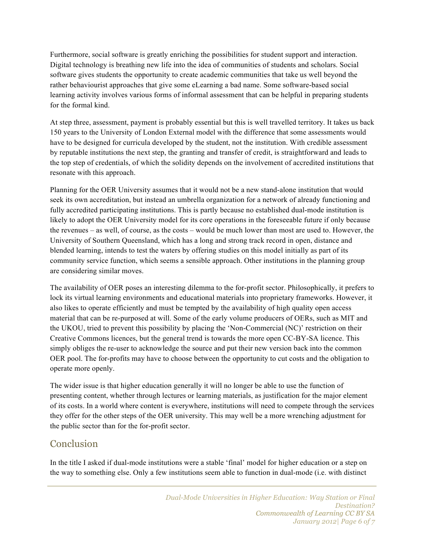Furthermore, social software is greatly enriching the possibilities for student support and interaction. Digital technology is breathing new life into the idea of communities of students and scholars. Social software gives students the opportunity to create academic communities that take us well beyond the rather behaviourist approaches that give some eLearning a bad name. Some software-based social learning activity involves various forms of informal assessment that can be helpful in preparing students for the formal kind.

At step three, assessment, payment is probably essential but this is well travelled territory. It takes us back 150 years to the University of London External model with the difference that some assessments would have to be designed for curricula developed by the student, not the institution. With credible assessment by reputable institutions the next step, the granting and transfer of credit, is straightforward and leads to the top step of credentials, of which the solidity depends on the involvement of accredited institutions that resonate with this approach.

Planning for the OER University assumes that it would not be a new stand-alone institution that would seek its own accreditation, but instead an umbrella organization for a network of already functioning and fully accredited participating institutions. This is partly because no established dual-mode institution is likely to adopt the OER University model for its core operations in the foreseeable future if only because the revenues – as well, of course, as the costs – would be much lower than most are used to. However, the University of Southern Queensland, which has a long and strong track record in open, distance and blended learning, intends to test the waters by offering studies on this model initially as part of its community service function, which seems a sensible approach. Other institutions in the planning group are considering similar moves.

The availability of OER poses an interesting dilemma to the for-profit sector. Philosophically, it prefers to lock its virtual learning environments and educational materials into proprietary frameworks. However, it also likes to operate efficiently and must be tempted by the availability of high quality open access material that can be re-purposed at will. Some of the early volume producers of OERs, such as MIT and the UKOU, tried to prevent this possibility by placing the 'Non-Commercial (NC)' restriction on their Creative Commons licences, but the general trend is towards the more open CC-BY-SA licence. This simply obliges the re-user to acknowledge the source and put their new version back into the common OER pool. The for-profits may have to choose between the opportunity to cut costs and the obligation to operate more openly.

The wider issue is that higher education generally it will no longer be able to use the function of presenting content, whether through lectures or learning materials, as justification for the major element of its costs. In a world where content is everywhere, institutions will need to compete through the services they offer for the other steps of the OER university. This may well be a more wrenching adjustment for the public sector than for the for-profit sector.

### Conclusion

In the title I asked if dual-mode institutions were a stable 'final' model for higher education or a step on the way to something else. Only a few institutions seem able to function in dual-mode (i.e. with distinct